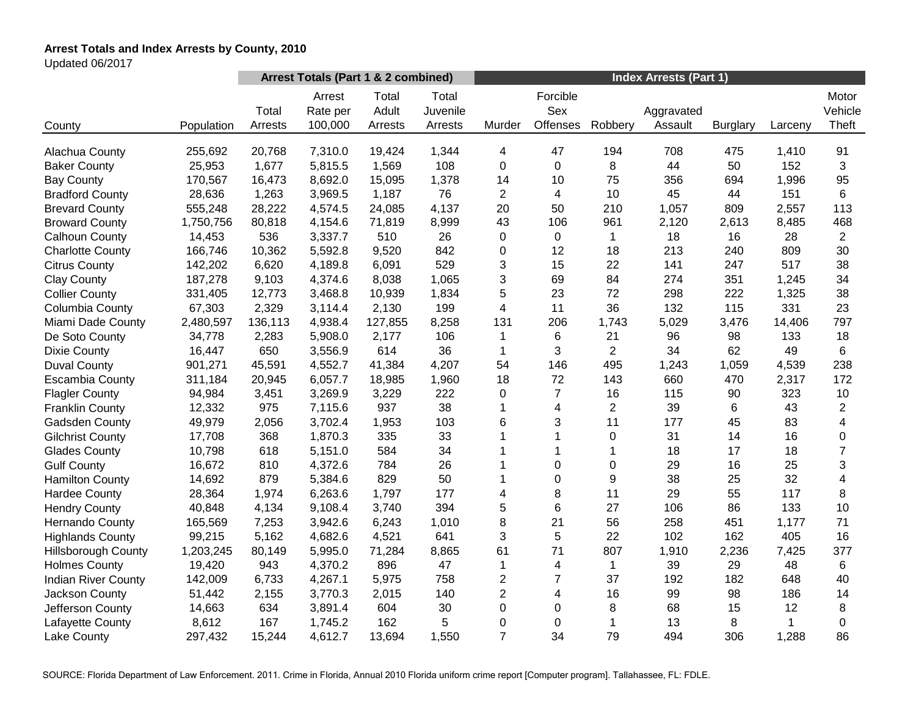# **Arrest Totals and Index Arrests by County, 2010**

Updated 06/2017

|                            |            |         | Arrest Totals (Part 1 & 2 combined) |                |                   | <b>Index Arrests (Part 1)</b> |                 |                |            |                 |         |                  |  |
|----------------------------|------------|---------|-------------------------------------|----------------|-------------------|-------------------------------|-----------------|----------------|------------|-----------------|---------|------------------|--|
|                            |            | Total   | Arrest<br>Rate per                  | Total<br>Adult | Total<br>Juvenile |                               | Forcible<br>Sex |                | Aggravated |                 |         | Motor<br>Vehicle |  |
| County                     | Population | Arrests | 100,000                             | Arrests        | Arrests           | Murder                        | <b>Offenses</b> | Robbery        | Assault    | <b>Burglary</b> | Larceny | Theft            |  |
| Alachua County             | 255,692    | 20,768  | 7,310.0                             | 19,424         | 1,344             | 4                             | 47              | 194            | 708        | 475             | 1,410   | 91               |  |
| <b>Baker County</b>        | 25,953     | 1,677   | 5,815.5                             | 1,569          | 108               | 0                             | $\mathbf 0$     | 8              | 44         | 50              | 152     | 3                |  |
| <b>Bay County</b>          | 170,567    | 16,473  | 8,692.0                             | 15,095         | 1,378             | 14                            | 10              | 75             | 356        | 694             | 1,996   | 95               |  |
| <b>Bradford County</b>     | 28,636     | 1,263   | 3,969.5                             | 1,187          | 76                | $\overline{2}$                | $\overline{4}$  | 10             | 45         | 44              | 151     | 6                |  |
| <b>Brevard County</b>      | 555,248    | 28,222  | 4,574.5                             | 24,085         | 4,137             | 20                            | 50              | 210            | 1,057      | 809             | 2,557   | 113              |  |
| <b>Broward County</b>      | 1,750,756  | 80,818  | 4,154.6                             | 71,819         | 8,999             | 43                            | 106             | 961            | 2,120      | 2,613           | 8,485   | 468              |  |
| <b>Calhoun County</b>      | 14,453     | 536     | 3,337.7                             | 510            | 26                | 0                             | $\Omega$        | 1              | 18         | 16              | 28      | $\overline{2}$   |  |
| <b>Charlotte County</b>    | 166,746    | 10,362  | 5,592.8                             | 9,520          | 842               | 0                             | 12              | 18             | 213        | 240             | 809     | 30               |  |
| <b>Citrus County</b>       | 142,202    | 6,620   | 4,189.8                             | 6,091          | 529               | 3                             | 15              | 22             | 141        | 247             | 517     | 38               |  |
| <b>Clay County</b>         | 187,278    | 9,103   | 4,374.6                             | 8,038          | 1,065             | 3                             | 69              | 84             | 274        | 351             | 1,245   | 34               |  |
| <b>Collier County</b>      | 331,405    | 12,773  | 3,468.8                             | 10,939         | 1,834             | 5                             | 23              | 72             | 298        | 222             | 1,325   | 38               |  |
| Columbia County            | 67,303     | 2,329   | 3,114.4                             | 2,130          | 199               | 4                             | 11              | 36             | 132        | 115             | 331     | 23               |  |
| Miami Dade County          | 2,480,597  | 136,113 | 4,938.4                             | 127,855        | 8,258             | 131                           | 206             | 1,743          | 5,029      | 3,476           | 14,406  | 797              |  |
| De Soto County             | 34,778     | 2,283   | 5,908.0                             | 2,177          | 106               | 1                             | 6               | 21             | 96         | 98              | 133     | 18               |  |
| <b>Dixie County</b>        | 16,447     | 650     | 3,556.9                             | 614            | 36                | 1                             | 3               | $\overline{2}$ | 34         | 62              | 49      | 6                |  |
| <b>Duval County</b>        | 901,271    | 45,591  | 4,552.7                             | 41,384         | 4,207             | 54                            | 146             | 495            | 1,243      | 1,059           | 4,539   | 238              |  |
| <b>Escambia County</b>     | 311,184    | 20,945  | 6,057.7                             | 18,985         | 1,960             | 18                            | 72              | 143            | 660        | 470             | 2,317   | 172              |  |
| <b>Flagler County</b>      | 94,984     | 3,451   | 3,269.9                             | 3,229          | 222               | 0                             | $\overline{7}$  | 16             | 115        | 90              | 323     | 10               |  |
| <b>Franklin County</b>     | 12,332     | 975     | 7,115.6                             | 937            | 38                | 1                             | 4               | $\overline{c}$ | 39         | 6               | 43      | $\overline{c}$   |  |
| Gadsden County             | 49,979     | 2,056   | 3,702.4                             | 1,953          | 103               | 6                             | 3               | 11             | 177        | 45              | 83      | 4                |  |
| <b>Gilchrist County</b>    | 17,708     | 368     | 1,870.3                             | 335            | 33                | 1                             | 1               | $\pmb{0}$      | 31         | 14              | 16      | $\mathbf 0$      |  |
| <b>Glades County</b>       | 10,798     | 618     | 5,151.0                             | 584            | 34                |                               |                 |                | 18         | 17              | 18      | $\overline{7}$   |  |
| <b>Gulf County</b>         | 16,672     | 810     | 4,372.6                             | 784            | 26                |                               | $\mathbf 0$     | $\Omega$       | 29         | 16              | 25      | 3                |  |
| <b>Hamilton County</b>     | 14,692     | 879     | 5,384.6                             | 829            | 50                | 1                             | $\mathbf 0$     | 9              | 38         | 25              | 32      | 4                |  |
| <b>Hardee County</b>       | 28,364     | 1,974   | 6,263.6                             | 1,797          | 177               | 4                             | 8               | 11             | 29         | 55              | 117     | 8                |  |
| <b>Hendry County</b>       | 40,848     | 4,134   | 9,108.4                             | 3,740          | 394               | 5                             | 6               | 27             | 106        | 86              | 133     | 10               |  |
| Hernando County            | 165,569    | 7,253   | 3,942.6                             | 6,243          | 1,010             | 8                             | 21              | 56             | 258        | 451             | 1,177   | 71               |  |
| <b>Highlands County</b>    | 99,215     | 5,162   | 4,682.6                             | 4,521          | 641               | 3                             | 5               | 22             | 102        | 162             | 405     | 16               |  |
| <b>Hillsborough County</b> | 1,203,245  | 80,149  | 5,995.0                             | 71,284         | 8,865             | 61                            | 71              | 807            | 1,910      | 2,236           | 7,425   | 377              |  |
| <b>Holmes County</b>       | 19,420     | 943     | 4,370.2                             | 896            | 47                | 1                             | 4               | 1              | 39         | 29              | 48      | $\,6$            |  |
| <b>Indian River County</b> | 142,009    | 6,733   | 4,267.1                             | 5,975          | 758               | $\overline{2}$                | $\overline{7}$  | 37             | 192        | 182             | 648     | 40               |  |
| Jackson County             | 51,442     | 2,155   | 3,770.3                             | 2,015          | 140               | $\overline{2}$                | 4               | 16             | 99         | 98              | 186     | 14               |  |
| Jefferson County           | 14,663     | 634     | 3,891.4                             | 604            | 30                | 0                             | $\mathbf 0$     | 8              | 68         | 15              | 12      | 8                |  |
| Lafayette County           | 8,612      | 167     | 1,745.2                             | 162            | 5                 | $\mathbf 0$                   | 0               | 1              | 13         | 8               | 1       | $\mathbf 0$      |  |
| Lake County                | 297,432    | 15,244  | 4,612.7                             | 13,694         | 1,550             | $\overline{7}$                | 34              | 79             | 494        | 306             | 1,288   | 86               |  |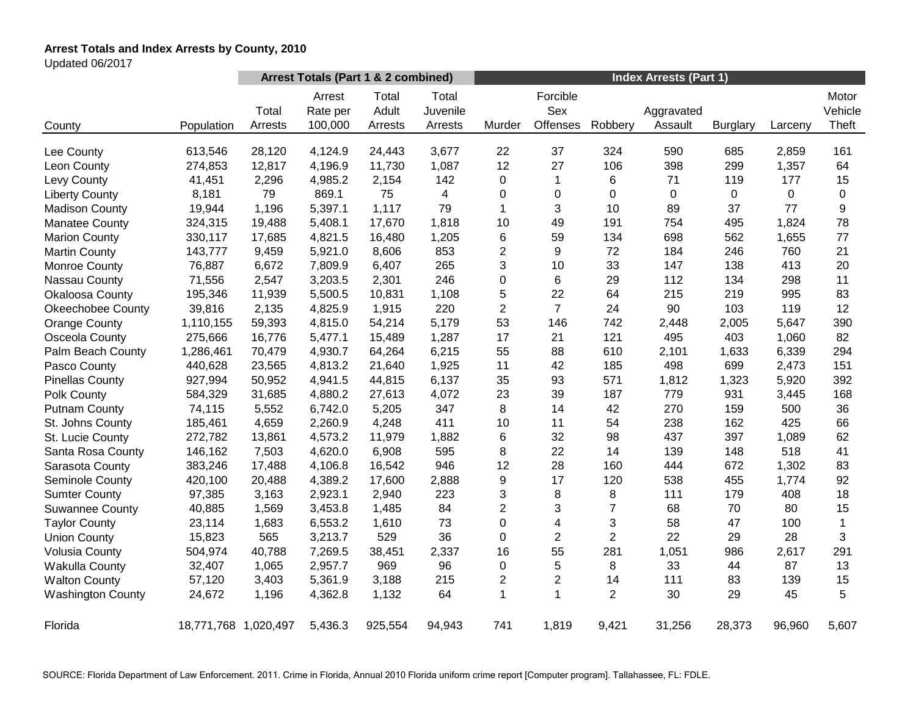# **Arrest Totals and Index Arrests by County, 2010**

Updated 06/2017

|                          |                      | Arrest Totals (Part 1 & 2 combined) |                               |                           |                              | <b>Index Arrests (Part 1)</b> |                             |                |                       |                 |         |                           |
|--------------------------|----------------------|-------------------------------------|-------------------------------|---------------------------|------------------------------|-------------------------------|-----------------------------|----------------|-----------------------|-----------------|---------|---------------------------|
| County                   | Population           | Total<br>Arrests                    | Arrest<br>Rate per<br>100,000 | Total<br>Adult<br>Arrests | Total<br>Juvenile<br>Arrests | Murder                        | Forcible<br>Sex<br>Offenses | Robbery        | Aggravated<br>Assault | <b>Burglary</b> | Larceny | Motor<br>Vehicle<br>Theft |
| Lee County               | 613,546              | 28,120                              | 4,124.9                       | 24,443                    | 3,677                        | 22                            | 37                          | 324            | 590                   | 685             | 2,859   | 161                       |
| Leon County              | 274,853              | 12,817                              | 4,196.9                       | 11,730                    | 1,087                        | 12                            | 27                          | 106            | 398                   | 299             | 1,357   | 64                        |
| Levy County              | 41,451               | 2,296                               | 4,985.2                       | 2,154                     | 142                          | 0                             | $\mathbf{1}$                | 6              | 71                    | 119             | 177     | 15                        |
| <b>Liberty County</b>    | 8,181                | 79                                  | 869.1                         | 75                        | 4                            | 0                             | $\pmb{0}$                   | 0              | $\mathbf 0$           | 0               | 0       | $\mathbf 0$               |
| <b>Madison County</b>    | 19,944               | 1,196                               | 5,397.1                       | 1,117                     | 79                           | $\mathbf{1}$                  | 3                           | 10             | 89                    | 37              | 77      | 9                         |
| <b>Manatee County</b>    | 324,315              | 19,488                              | 5,408.1                       | 17,670                    | 1,818                        | 10                            | 49                          | 191            | 754                   | 495             | 1,824   | 78                        |
| <b>Marion County</b>     | 330,117              | 17,685                              | 4,821.5                       | 16,480                    | 1,205                        | 6                             | 59                          | 134            | 698                   | 562             | 1,655   | 77                        |
| <b>Martin County</b>     | 143,777              | 9,459                               | 5,921.0                       | 8,606                     | 853                          | $\overline{c}$                | 9                           | 72             | 184                   | 246             | 760     | 21                        |
| Monroe County            | 76,887               | 6,672                               | 7,809.9                       | 6,407                     | 265                          | 3                             | 10                          | 33             | 147                   | 138             | 413     | 20                        |
| Nassau County            | 71,556               | 2,547                               | 3,203.5                       | 2,301                     | 246                          | 0                             | 6                           | 29             | 112                   | 134             | 298     | 11                        |
| Okaloosa County          | 195,346              | 11,939                              | 5,500.5                       | 10,831                    | 1,108                        | 5                             | 22                          | 64             | 215                   | 219             | 995     | 83                        |
| <b>Okeechobee County</b> | 39,816               | 2,135                               | 4,825.9                       | 1,915                     | 220                          | 2                             | $\overline{7}$              | 24             | 90                    | 103             | 119     | 12                        |
| <b>Orange County</b>     | 1,110,155            | 59,393                              | 4,815.0                       | 54,214                    | 5,179                        | 53                            | 146                         | 742            | 2,448                 | 2,005           | 5,647   | 390                       |
| Osceola County           | 275,666              | 16,776                              | 5,477.1                       | 15,489                    | 1,287                        | 17                            | 21                          | 121            | 495                   | 403             | 1,060   | 82                        |
| Palm Beach County        | 1,286,461            | 70,479                              | 4,930.7                       | 64,264                    | 6,215                        | 55                            | 88                          | 610            | 2,101                 | 1,633           | 6,339   | 294                       |
| Pasco County             | 440,628              | 23,565                              | 4,813.2                       | 21,640                    | 1,925                        | 11                            | 42                          | 185            | 498                   | 699             | 2,473   | 151                       |
| <b>Pinellas County</b>   | 927,994              | 50,952                              | 4,941.5                       | 44,815                    | 6,137                        | 35                            | 93                          | 571            | 1,812                 | 1,323           | 5,920   | 392                       |
| Polk County              | 584,329              | 31,685                              | 4,880.2                       | 27,613                    | 4,072                        | 23                            | 39                          | 187            | 779                   | 931             | 3,445   | 168                       |
| <b>Putnam County</b>     | 74,115               | 5,552                               | 6,742.0                       | 5,205                     | 347                          | 8                             | 14                          | 42             | 270                   | 159             | 500     | 36                        |
| St. Johns County         | 185,461              | 4,659                               | 2,260.9                       | 4,248                     | 411                          | 10                            | 11                          | 54             | 238                   | 162             | 425     | 66                        |
| St. Lucie County         | 272,782              | 13,861                              | 4,573.2                       | 11,979                    | 1,882                        | 6                             | 32                          | 98             | 437                   | 397             | 1,089   | 62                        |
| Santa Rosa County        | 146,162              | 7,503                               | 4,620.0                       | 6,908                     | 595                          | 8                             | 22                          | 14             | 139                   | 148             | 518     | 41                        |
| Sarasota County          | 383,246              | 17,488                              | 4,106.8                       | 16,542                    | 946                          | 12                            | 28                          | 160            | 444                   | 672             | 1,302   | 83                        |
| Seminole County          | 420,100              | 20,488                              | 4,389.2                       | 17,600                    | 2,888                        | 9                             | 17                          | 120            | 538                   | 455             | 1,774   | 92                        |
| <b>Sumter County</b>     | 97,385               | 3,163                               | 2,923.1                       | 2,940                     | 223                          | 3                             | 8                           | 8              | 111                   | 179             | 408     | 18                        |
| <b>Suwannee County</b>   | 40,885               | 1,569                               | 3,453.8                       | 1,485                     | 84                           | $\overline{c}$                | 3                           | $\overline{7}$ | 68                    | 70              | 80      | 15                        |
| <b>Taylor County</b>     | 23,114               | 1,683                               | 6,553.2                       | 1,610                     | 73                           | 0                             | $\overline{\mathbf{4}}$     | 3              | 58                    | 47              | 100     | $\mathbf{1}$              |
| <b>Union County</b>      | 15,823               | 565                                 | 3,213.7                       | 529                       | 36                           | 0                             | $\overline{c}$              | $\overline{2}$ | 22                    | 29              | 28      | 3                         |
| <b>Volusia County</b>    | 504,974              | 40,788                              | 7,269.5                       | 38,451                    | 2,337                        | 16                            | 55                          | 281            | 1,051                 | 986             | 2,617   | 291                       |
| <b>Wakulla County</b>    | 32,407               | 1,065                               | 2,957.7                       | 969                       | 96                           | 0                             | 5                           | 8              | 33                    | 44              | 87      | 13                        |
| <b>Walton County</b>     | 57,120               | 3,403                               | 5,361.9                       | 3,188                     | 215                          | $\overline{c}$                | $\overline{2}$              | 14             | 111                   | 83              | 139     | 15                        |
| <b>Washington County</b> | 24,672               | 1,196                               | 4,362.8                       | 1,132                     | 64                           | 1                             | $\mathbf{1}$                | $\overline{2}$ | 30                    | 29              | 45      | 5                         |
| Florida                  | 18,771,768 1,020,497 |                                     | 5,436.3                       | 925,554                   | 94,943                       | 741                           | 1,819                       | 9,421          | 31,256                | 28,373          | 96,960  | 5,607                     |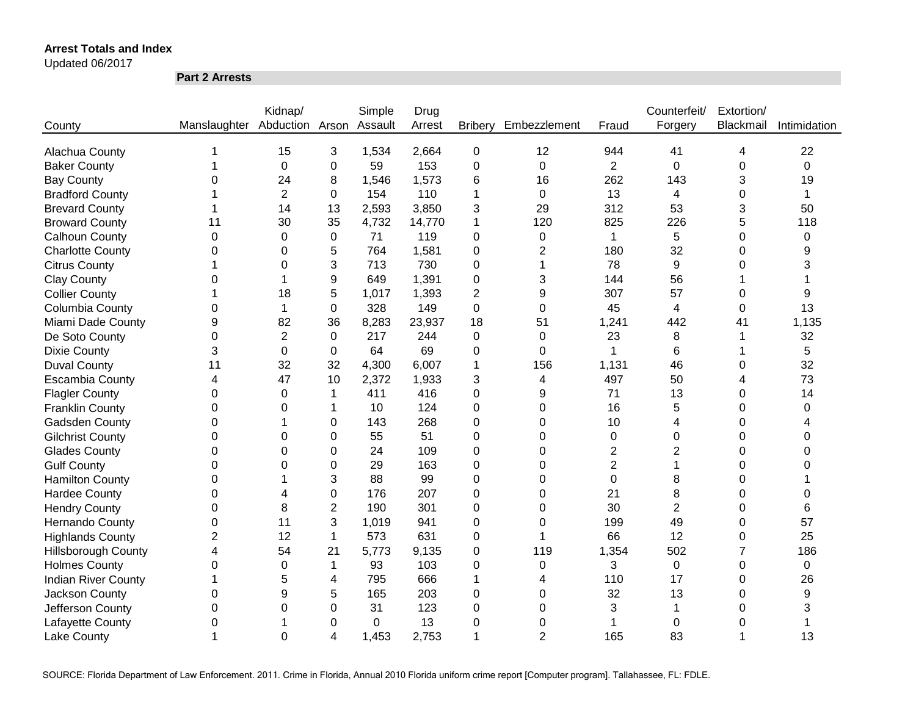Updated 06/2017

**Part 2 Arrests**

|                            |                              | Kidnap/        |                | Simple  | Drug   |                |                |                | Counterfeit/   | Extortion/ |              |
|----------------------------|------------------------------|----------------|----------------|---------|--------|----------------|----------------|----------------|----------------|------------|--------------|
| County                     | Manslaughter Abduction Arson |                |                | Assault | Arrest | <b>Bribery</b> | Embezzlement   | Fraud          | Forgery        | Blackmail  | Intimidation |
|                            |                              |                |                |         |        |                |                |                |                |            |              |
| Alachua County             |                              | 15             | 3              | 1,534   | 2,664  | $\mathbf 0$    | 12             | 944            | 41             | 4          | 22           |
| <b>Baker County</b>        |                              | $\mathbf 0$    | 0              | 59      | 153    | 0              | $\mathbf 0$    | $\overline{2}$ | $\mathbf 0$    | 0          | 0            |
| <b>Bay County</b>          | 0                            | 24             | 8              | 1,546   | 1,573  | 6              | 16             | 262            | 143            | 3          | 19           |
| <b>Bradford County</b>     |                              | $\overline{2}$ | 0              | 154     | 110    | 1              | $\mathbf 0$    | 13             | 4              | 0          | 1            |
| <b>Brevard County</b>      |                              | 14             | 13             | 2,593   | 3,850  | 3              | 29             | 312            | 53             | 3          | 50           |
| <b>Broward County</b>      | 11                           | 30             | 35             | 4,732   | 14,770 | 1              | 120            | 825            | 226            | 5          | 118          |
| <b>Calhoun County</b>      | $\mathbf 0$                  | 0              | 0              | 71      | 119    | 0              | 0              | 1              | 5              | 0          | 0            |
| <b>Charlotte County</b>    | 0                            | 0              | 5              | 764     | 1,581  | 0              | $\overline{2}$ | 180            | 32             | 0          | 9            |
| <b>Citrus County</b>       |                              | 0              | 3              | 713     | 730    | 0              |                | 78             | 9              | 0          | 3            |
| <b>Clay County</b>         | 0                            |                | 9              | 649     | 1,391  | 0              | 3              | 144            | 56             |            |              |
| <b>Collier County</b>      |                              | 18             | 5              | 1,017   | 1,393  | 2              | 9              | 307            | 57             | 0          | 9            |
| Columbia County            | 0                            | 1              | $\mathbf 0$    | 328     | 149    | 0              | 0              | 45             | 4              | 0          | 13           |
| Miami Dade County          | 9                            | 82             | 36             | 8,283   | 23,937 | 18             | 51             | 1,241          | 442            | 41         | 1,135        |
| De Soto County             | 0                            | $\overline{2}$ | $\Omega$       | 217     | 244    | 0              | $\Omega$       | 23             | 8              |            | 32           |
| <b>Dixie County</b>        | 3                            | $\Omega$       | 0              | 64      | 69     | 0              | $\Omega$       | 1              | 6              |            | 5            |
| <b>Duval County</b>        | 11                           | 32             | 32             | 4,300   | 6,007  | 1              | 156            | 1,131          | 46             | 0          | 32           |
| <b>Escambia County</b>     | 4                            | 47             | 10             | 2,372   | 1,933  | 3              | 4              | 497            | 50             | 4          | 73           |
| <b>Flagler County</b>      | 0                            | 0              | 1              | 411     | 416    | 0              | 9              | 71             | 13             | 0          | 14           |
| <b>Franklin County</b>     | $\overline{0}$               | 0              | 1              | 10      | 124    | 0              | $\Omega$       | 16             | 5              | $\Omega$   | $\Omega$     |
| Gadsden County             | 0                            |                | 0              | 143     | 268    | 0              | $\Omega$       | 10             | $\overline{4}$ | 0          |              |
| <b>Gilchrist County</b>    | 0                            | $\Omega$       | 0              | 55      | 51     | 0              | $\Omega$       | 0              | $\mathbf 0$    | 0          | 0            |
| <b>Glades County</b>       | 0                            | 0              | $\Omega$       | 24      | 109    | 0              | $\Omega$       | 2              | $\overline{2}$ | 0          | 0            |
| <b>Gulf County</b>         | 0                            | 0              | 0              | 29      | 163    | 0              | $\Omega$       | $\overline{2}$ | 1              | 0          | 0            |
| <b>Hamilton County</b>     | 0                            |                | 3              | 88      | 99     | 0              | $\Omega$       | 0              | 8              | 0          |              |
| <b>Hardee County</b>       | 0                            |                | 0              | 176     | 207    | 0              | 0              | 21             | 8              | 0          | 0            |
| <b>Hendry County</b>       | 0                            | 8              | $\overline{2}$ | 190     | 301    | 0              | 0              | 30             | $\overline{2}$ | 0          | 6            |
| Hernando County            | 0                            | 11             | 3              | 1,019   | 941    | 0              | $\Omega$       | 199            | 49             | 0          | 57           |
| <b>Highlands County</b>    | $\overline{c}$               | 12             | 1              | 573     | 631    | 0              | 1              | 66             | 12             | 0          | 25           |
| <b>Hillsborough County</b> | 4                            | 54             | 21             | 5,773   | 9,135  | 0              | 119            | 1,354          | 502            | 7          | 186          |
| <b>Holmes County</b>       | 0                            | 0              | 1              | 93      | 103    | 0              | 0              | 3              | 0              | 0          | $\mathbf 0$  |
| <b>Indian River County</b> |                              | 5              | 4              | 795     | 666    | 1              | 4              | 110            | 17             | 0          | 26           |
| Jackson County             | 0                            | 9              | 5              | 165     | 203    | 0              | 0              | 32             | 13             | 0          | 9            |
| Jefferson County           | 0                            | 0              | 0              | 31      | 123    | 0              | 0              | 3              | 1              | 0          | 3            |
| Lafayette County           | 0                            |                | 0              | 0       | 13     | 0              | 0              |                | 0              | 0          |              |
| <b>Lake County</b>         |                              | $\overline{0}$ | 4              | 1,453   | 2,753  | 1              | $\overline{2}$ | 165            | 83             |            | 13           |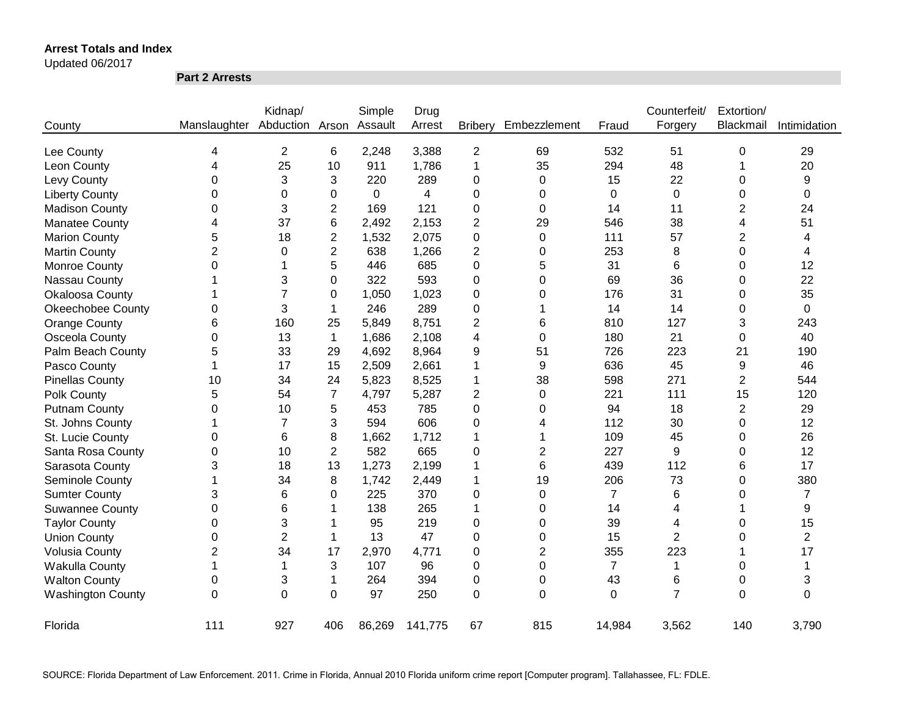#### Updated 06/2017

**Part 2 Arrests**

|                          |                | Kidnap/        |                | Simple      | Drug    |                          |              |                | Counterfeit/   | Extortion/     |                |
|--------------------------|----------------|----------------|----------------|-------------|---------|--------------------------|--------------|----------------|----------------|----------------|----------------|
| County                   | Manslaughter   | Abduction      | Arson          | Assault     | Arrest  | <b>Bribery</b>           | Embezzlement | Fraud          | Forgery        | Blackmail      | Intimidation   |
| Lee County               | 4              | $\overline{2}$ | 6              | 2,248       | 3,388   | $\overline{2}$           | 69           | 532            | 51             | 0              | 29             |
| Leon County              | 4              | 25             | 10             | 911         | 1,786   | 1                        | 35           | 294            | 48             | 1              | 20             |
| Levy County              | 0              | 3              | 3              | 220         | 289     | 0                        | 0            | 15             | 22             | 0              | 9              |
| <b>Liberty County</b>    | 0              | 0              | 0              | $\mathbf 0$ | 4       | 0                        | 0            | 0              | $\mathbf 0$    | 0              | 0              |
| <b>Madison County</b>    | 0              | 3              | $\overline{2}$ | 169         | 121     | 0                        | 0            | 14             | 11             | 2              | 24             |
| <b>Manatee County</b>    | 4              | 37             | 6              | 2,492       | 2,153   | 2                        | 29           | 546            | 38             | 4              | 51             |
| <b>Marion County</b>     | 5              | 18             | $\mathbf{2}$   | 1,532       | 2,075   | 0                        | 0            | 111            | 57             | 2              | 4              |
| <b>Martin County</b>     | $\overline{2}$ | 0              | $\overline{2}$ | 638         | 1,266   | $\overline{c}$           | 0            | 253            | 8              | 0              | 4              |
| Monroe County            | 0              |                | 5              | 446         | 685     | 0                        | 5            | 31             | 6              | 0              | 12             |
| Nassau County            |                | 3              | 0              | 322         | 593     | 0                        | 0            | 69             | 36             | 0              | 22             |
| Okaloosa County          |                | $\overline{7}$ | 0              | 1,050       | 1,023   | 0                        | 0            | 176            | 31             | 0              | 35             |
| <b>Okeechobee County</b> | 0              | 3              | 1              | 246         | 289     | 0                        |              | 14             | 14             | 0              | 0              |
| <b>Orange County</b>     | 6              | 160            | 25             | 5,849       | 8,751   | $\overline{2}$           | 6            | 810            | 127            | 3              | 243            |
| Osceola County           | 0              | 13             | $\mathbf{1}$   | 1,686       | 2,108   | $\overline{\mathcal{L}}$ | 0            | 180            | 21             | 0              | 40             |
| Palm Beach County        | 5              | 33             | 29             | 4,692       | 8,964   | 9                        | 51           | 726            | 223            | 21             | 190            |
| Pasco County             | 1              | 17             | 15             | 2,509       | 2,661   | 1                        | 9            | 636            | 45             | 9              | 46             |
| <b>Pinellas County</b>   | 10             | 34             | 24             | 5,823       | 8,525   | 1                        | 38           | 598            | 271            | $\overline{c}$ | 544            |
| Polk County              | 5              | 54             | $\overline{7}$ | 4,797       | 5,287   | 2                        | $\Omega$     | 221            | 111            | 15             | 120            |
| <b>Putnam County</b>     | $\Omega$       | 10             | 5              | 453         | 785     | 0                        | $\Omega$     | 94             | 18             | 2              | 29             |
| St. Johns County         | 1              | 7              | 3              | 594         | 606     | 0                        | 4            | 112            | 30             | 0              | 12             |
| St. Lucie County         | 0              | 6              | 8              | 1,662       | 1,712   | 1                        | 1            | 109            | 45             | 0              | 26             |
| Santa Rosa County        | 0              | 10             | $\overline{2}$ | 582         | 665     | 0                        | 2            | 227            | 9              | 0              | 12             |
| Sarasota County          | 3              | 18             | 13             | 1,273       | 2,199   | 1                        | 6            | 439            | 112            | 6              | 17             |
| Seminole County          | 1              | 34             | 8              | 1,742       | 2,449   | 1                        | 19           | 206            | 73             | $\Omega$       | 380            |
| <b>Sumter County</b>     | 3              | 6              | 0              | 225         | 370     | 0                        | $\Omega$     | $\overline{7}$ | 6              | 0              | $\overline{7}$ |
| <b>Suwannee County</b>   | 0              | 6              | 1              | 138         | 265     | 1                        | 0            | 14             | 4              |                | 9              |
| <b>Taylor County</b>     | 0              | 3              | 1              | 95          | 219     | 0                        | 0            | 39             | 4              | 0              | 15             |
| <b>Union County</b>      | 0              | $\overline{2}$ | 1              | 13          | 47      | 0                        | 0            | 15             | $\overline{2}$ | 0              | $\overline{2}$ |
| <b>Volusia County</b>    | $\overline{2}$ | 34             | 17             | 2,970       | 4,771   | 0                        | 2            | 355            | 223            |                | 17             |
| <b>Wakulla County</b>    | 1              | 1              | 3              | 107         | 96      | 0                        | $\Omega$     | $\overline{7}$ | 1              | 0              | 1              |
| <b>Walton County</b>     | 0              | 3              | 1              | 264         | 394     | 0                        | $\Omega$     | 43             | 6              | 0              | 3              |
| <b>Washington County</b> | 0              | $\Omega$       | $\Omega$       | 97          | 250     | 0                        | $\Omega$     | $\Omega$       | $\overline{7}$ | 0              | $\Omega$       |
| Florida                  | 111            | 927            | 406            | 86,269      | 141,775 | 67                       | 815          | 14,984         | 3,562          | 140            | 3,790          |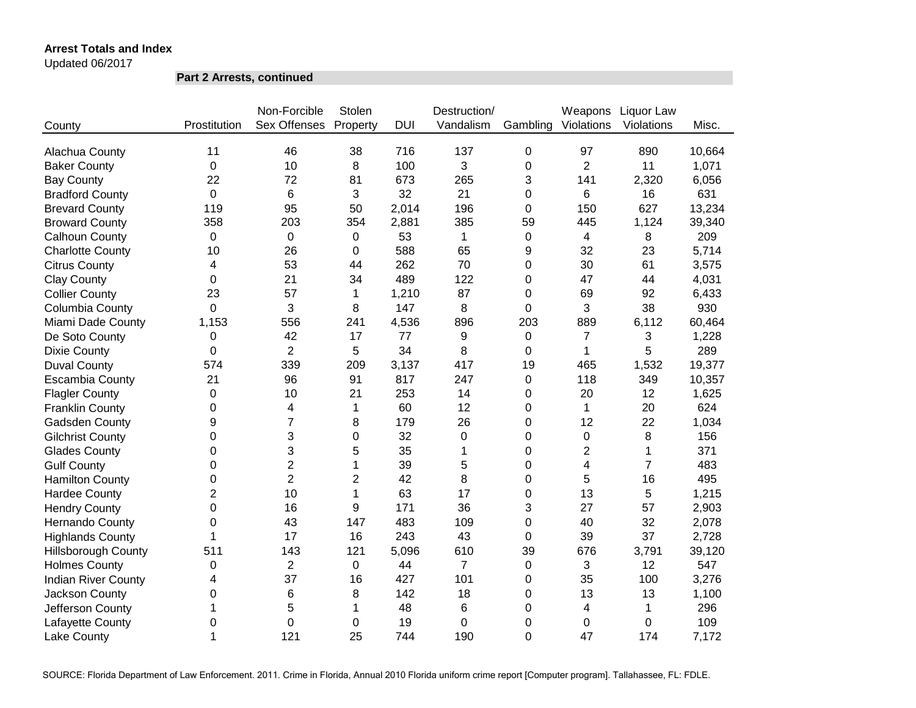Updated 06/2017

**Part 2 Arrests, continued**

|                            |                | Non-Forcible        | Stolen         |            | Destruction/   |                | Weapons        | Liquor Law     |        |
|----------------------------|----------------|---------------------|----------------|------------|----------------|----------------|----------------|----------------|--------|
| County                     | Prostitution   | <b>Sex Offenses</b> | Property       | <b>DUI</b> | Vandalism      | Gambling       | Violations     | Violations     | Misc.  |
| Alachua County             | 11             | 46                  | 38             | 716        | 137            | $\mathbf 0$    | 97             | 890            | 10,664 |
| <b>Baker County</b>        | 0              | 10                  | 8              | 100        | 3              | 0              | $\overline{2}$ | 11             | 1,071  |
| <b>Bay County</b>          | 22             | 72                  | 81             | 673        | 265            | 3              | 141            | 2,320          | 6,056  |
| <b>Bradford County</b>     | $\mathbf 0$    | 6                   | 3              | 32         | 21             | 0              | 6              | 16             | 631    |
| <b>Brevard County</b>      | 119            | 95                  | 50             | 2,014      | 196            | 0              | 150            | 627            | 13,234 |
| <b>Broward County</b>      | 358            | 203                 | 354            | 2,881      | 385            | 59             | 445            | 1,124          | 39,340 |
| Calhoun County             | $\Omega$       | 0                   | 0              | 53         | 1              | 0              | 4              | 8              | 209    |
| <b>Charlotte County</b>    | 10             | 26                  | 0              | 588        | 65             | 9              | 32             | 23             | 5,714  |
| <b>Citrus County</b>       | 4              | 53                  | 44             | 262        | 70             | 0              | 30             | 61             | 3,575  |
| <b>Clay County</b>         | 0              | 21                  | 34             | 489        | 122            | 0              | 47             | 44             | 4,031  |
| <b>Collier County</b>      | 23             | 57                  | 1              | 1,210      | 87             | 0              | 69             | 92             | 6,433  |
| Columbia County            | 0              | 3                   | 8              | 147        | 8              | 0              | 3              | 38             | 930    |
| Miami Dade County          | 1,153          | 556                 | 241            | 4,536      | 896            | 203            | 889            | 6,112          | 60,464 |
| De Soto County             | 0              | 42                  | 17             | 77         | 9              | 0              | $\overline{7}$ | 3              | 1,228  |
| <b>Dixie County</b>        | 0              | $\overline{2}$      | 5              | 34         | 8              | 0              | 1              | 5              | 289    |
| <b>Duval County</b>        | 574            | 339                 | 209            | 3,137      | 417            | 19             | 465            | 1,532          | 19,377 |
| <b>Escambia County</b>     | 21             | 96                  | 91             | 817        | 247            | 0              | 118            | 349            | 10,357 |
| <b>Flagler County</b>      | 0              | 10                  | 21             | 253        | 14             | 0              | 20             | 12             | 1,625  |
| <b>Franklin County</b>     | 0              | 4                   | 1              | 60         | 12             | 0              | 1              | 20             | 624    |
| Gadsden County             | 9              | $\overline{7}$      | 8              | 179        | 26             | 0              | 12             | 22             | 1,034  |
| <b>Gilchrist County</b>    | 0              | 3                   | $\mathbf 0$    | 32         | $\mathbf 0$    | 0              | $\mathbf 0$    | 8              | 156    |
| <b>Glades County</b>       | 0              | 3                   | 5              | 35         | 1              | 0              | $\overline{2}$ | $\mathbf{1}$   | 371    |
| <b>Gulf County</b>         | 0              | $\overline{2}$      | 1              | 39         | 5              | 0              | $\overline{4}$ | $\overline{7}$ | 483    |
| <b>Hamilton County</b>     | 0              | $\overline{c}$      | $\overline{2}$ | 42         | 8              | 0              | 5              | 16             | 495    |
| <b>Hardee County</b>       | $\overline{2}$ | 10                  | 1              | 63         | 17             | 0              | 13             | 5              | 1,215  |
| <b>Hendry County</b>       | 0              | 16                  | 9              | 171        | 36             | 3              | 27             | 57             | 2,903  |
| Hernando County            | 0              | 43                  | 147            | 483        | 109            | 0              | 40             | 32             | 2,078  |
| <b>Highlands County</b>    | 1              | 17                  | 16             | 243        | 43             | 0              | 39             | 37             | 2,728  |
| <b>Hillsborough County</b> | 511            | 143                 | 121            | 5,096      | 610            | 39             | 676            | 3,791          | 39,120 |
| <b>Holmes County</b>       | 0              | $\overline{2}$      | $\mathbf 0$    | 44         | $\overline{7}$ | $\pmb{0}$      | $\mathbf{3}$   | 12             | 547    |
| <b>Indian River County</b> | 4              | 37                  | 16             | 427        | 101            | 0              | 35             | 100            | 3,276  |
| Jackson County             | 0              | 6                   | 8              | 142        | 18             | 0              | 13             | 13             | 1,100  |
| Jefferson County           | 1              | 5                   | 1              | 48         | 6              | 0              | 4              | 1              | 296    |
| Lafayette County           | 0              | 0                   | 0              | 19         | 0              | 0              | 0              | $\mathbf 0$    | 109    |
| <b>Lake County</b>         | 1              | 121                 | 25             | 744        | 190            | $\overline{0}$ | 47             | 174            | 7,172  |